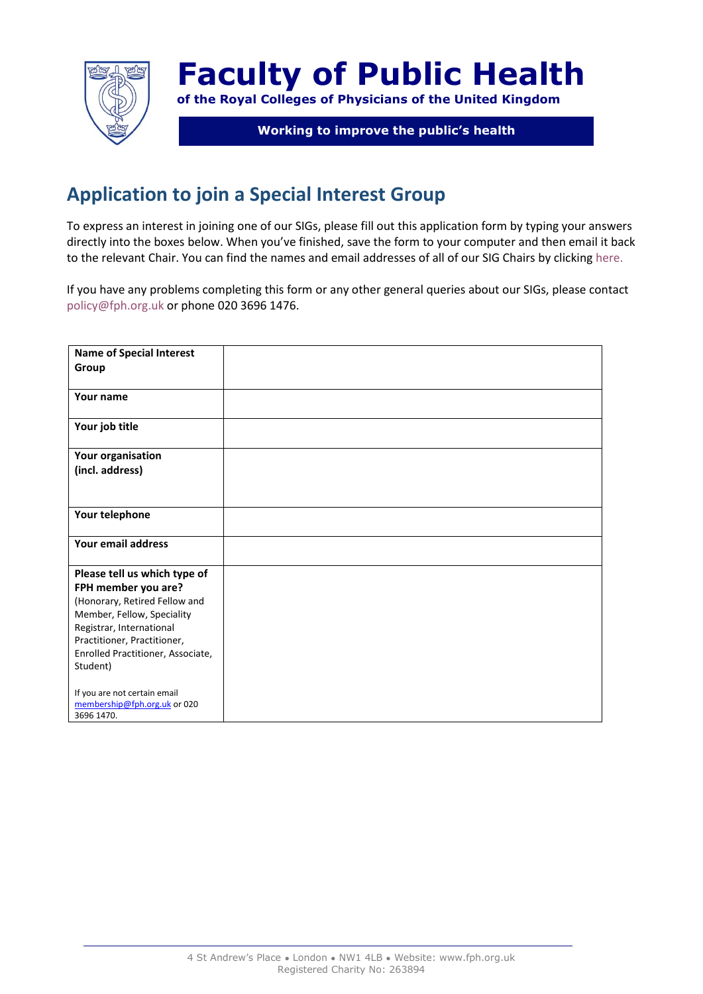

## **Faculty of Public Health**

**of the Royal Colleges of Physicians of the United Kingdom**

## **Working to improve the public's health**

## **Application to join a Special Interest Group**

To express an interest in joining one of our SIGs, please fill out this application form by typing your answers directly into the boxes below. When you've finished, save the form to your computer and then email it back to the relevant Chair. You can find the names and email addresses of all of our SIG Chairs by clickin[g here.](http://www.fph.org.uk/current_special_interest_groups)

If you have any problems completing this form or any other general queries about our SIGs, please contact [policy@fph.org.uk](mailto:policy@fph.org.uk) or phone 020 3696 1476.

| <b>Name of Special Interest</b>   |  |
|-----------------------------------|--|
| Group                             |  |
|                                   |  |
| Your name                         |  |
|                                   |  |
| Your job title                    |  |
|                                   |  |
| Your organisation                 |  |
| (incl. address)                   |  |
|                                   |  |
|                                   |  |
| Your telephone                    |  |
|                                   |  |
| Your email address                |  |
|                                   |  |
| Please tell us which type of      |  |
| FPH member you are?               |  |
| (Honorary, Retired Fellow and     |  |
| Member, Fellow, Speciality        |  |
| Registrar, International          |  |
| Practitioner, Practitioner,       |  |
| Enrolled Practitioner, Associate, |  |
| Student)                          |  |
| If you are not certain email      |  |
| membership@fph.org.uk or 020      |  |
| 3696 1470.                        |  |